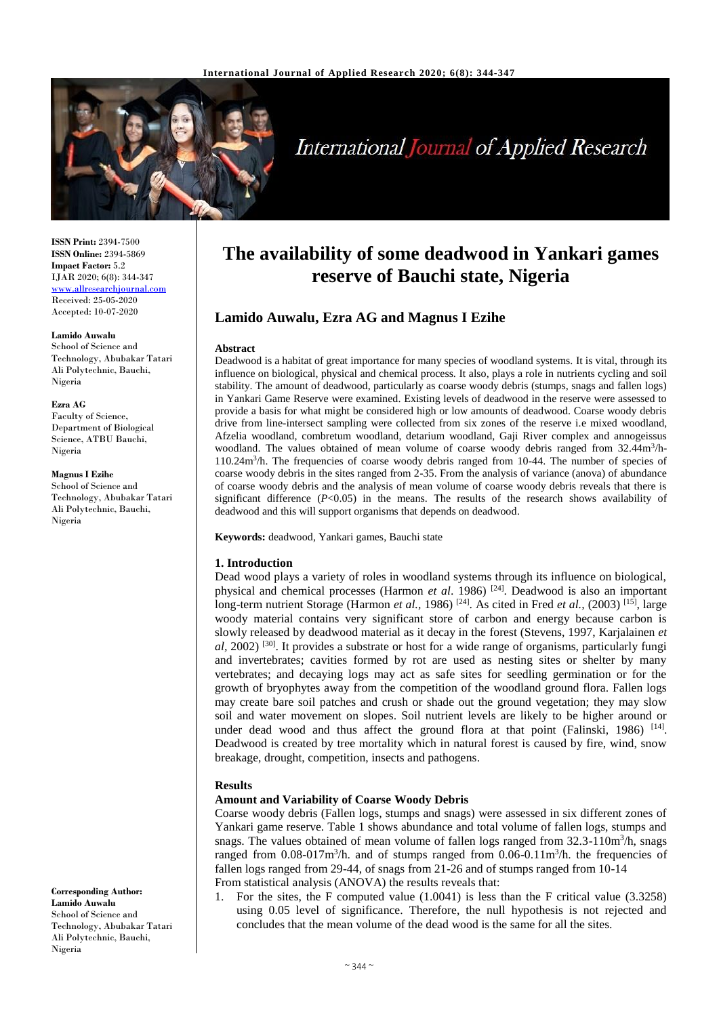

# **International Journal of Applied Research**

**ISSN Print:** 2394-7500 **ISSN Online:** 2394-5869 **Impact Factor:** 5.2 IJAR 2020; 6(8): 344-347 <www.allresearchjournal.com> Received: 25-05-2020 Accepted: 10-07-2020

#### **Lamido Auwalu**

School of Science and Technology, Abubakar Tatari Ali Polytechnic, Bauchi, Nigeria

#### **Ezra AG**

Faculty of Science, Department of Biological Science, ATBU Bauchi, Nigeria

**Magnus I Ezihe**

School of Science and Technology, Abubakar Tatari Ali Polytechnic, Bauchi, Nigeria

**Corresponding Author: Lamido Auwalu** School of Science and Technology, Abubakar Tatari Ali Polytechnic, Bauchi, Nigeria

## **The availability of some deadwood in Yankari games reserve of Bauchi state, Nigeria**

#### **Lamido Auwalu, Ezra AG and Magnus I Ezihe**

#### **Abstract**

Deadwood is a habitat of great importance for many species of woodland systems. It is vital, through its influence on biological, physical and chemical process. It also, plays a role in nutrients cycling and soil stability. The amount of deadwood, particularly as coarse woody debris (stumps, snags and fallen logs) in Yankari Game Reserve were examined. Existing levels of deadwood in the reserve were assessed to provide a basis for what might be considered high or low amounts of deadwood. Coarse woody debris drive from line-intersect sampling were collected from six zones of the reserve i.e mixed woodland, Afzelia woodland, combretum woodland, detarium woodland, Gaji River complex and annogeissus woodland. The values obtained of mean volume of coarse woody debris ranged from 32.44m<sup>3</sup>/h-110.24m<sup>3</sup> /h. The frequencies of coarse woody debris ranged from 10-44. The number of species of coarse woody debris in the sites ranged from 2-35. From the analysis of variance (anova) of abundance of coarse woody debris and the analysis of mean volume of coarse woody debris reveals that there is significant difference  $(P<0.05)$  in the means. The results of the research shows availability of deadwood and this will support organisms that depends on deadwood.

**Keywords:** deadwood, Yankari games, Bauchi state

#### **1. Introduction**

Dead wood plays a variety of roles in woodland systems through its influence on biological, physical and chemical processes (Harmon *et al*. 1986) [24]. Deadwood is also an important long-term nutrient Storage (Harmon *et al.*, 1986)<sup>[24]</sup>. As cited in Fred *et al.*, (2003)<sup>[15]</sup>, large woody material contains very significant store of carbon and energy because carbon is slowly released by deadwood material as it decay in the forest (Stevens, 1997, Karjalainen *et*  al, 2002)<sup>[30]</sup>. It provides a substrate or host for a wide range of organisms, particularly fungi and invertebrates; cavities formed by rot are used as nesting sites or shelter by many vertebrates; and decaying logs may act as safe sites for seedling germination or for the growth of bryophytes away from the competition of the woodland ground flora. Fallen logs may create bare soil patches and crush or shade out the ground vegetation; they may slow soil and water movement on slopes. Soil nutrient levels are likely to be higher around or under dead wood and thus affect the ground flora at that point (Falinski, 1986) <sup>[14]</sup>. Deadwood is created by tree mortality which in natural forest is caused by fire, wind, snow breakage, drought, competition, insects and pathogens.

#### **Results**

#### **Amount and Variability of Coarse Woody Debris**

Coarse woody debris (Fallen logs, stumps and snags) were assessed in six different zones of Yankari game reserve. Table 1 shows abundance and total volume of fallen logs, stumps and snags. The values obtained of mean volume of fallen logs ranged from 32.3-110m<sup>3</sup>/h, snags ranged from  $0.08$ -017m<sup>3</sup>/h. and of stumps ranged from  $0.06$ -0.11m<sup>3</sup>/h. the frequencies of fallen logs ranged from 29-44, of snags from 21-26 and of stumps ranged from 10-14 From statistical analysis (ANOVA) the results reveals that:

1. For the sites, the F computed value (1.0041) is less than the F critical value (3.3258) using 0.05 level of significance. Therefore, the null hypothesis is not rejected and concludes that the mean volume of the dead wood is the same for all the sites.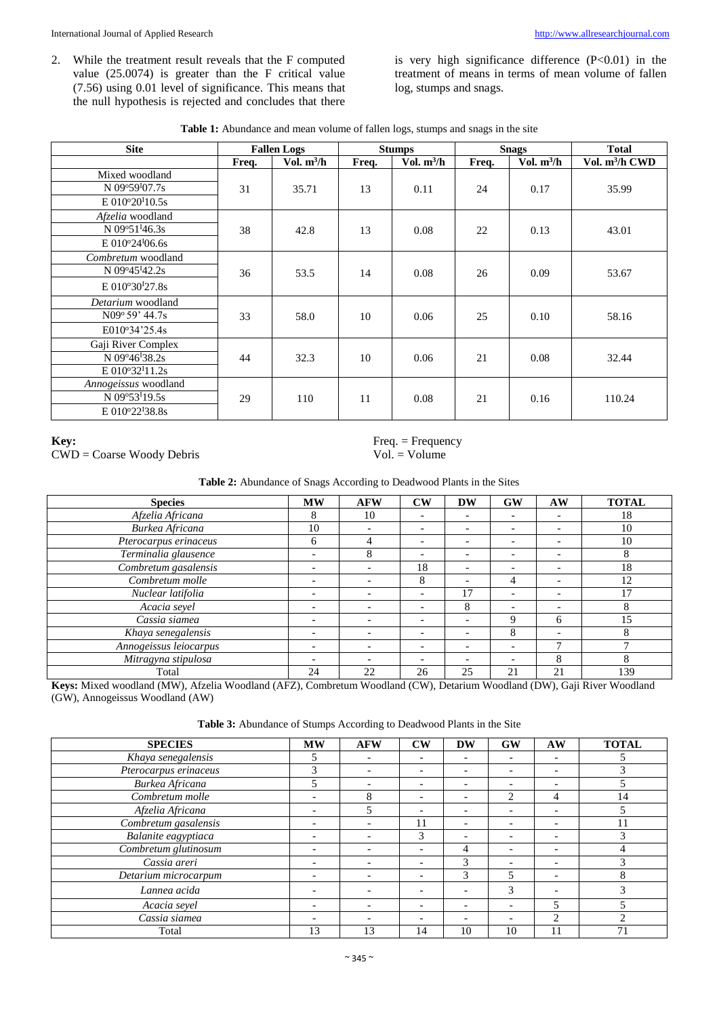2. While the treatment result reveals that the F computed value  $(25.0074)$  is greater than the F critical value (7.56) using 0.01 level of significance. This means that the null hypothesis is rejected and concludes that there is very high significance difference  $(P<0.01)$  in the treatment of means in terms of mean volume of fallen log, stumps and snags.

| Table 1: Abundance and mean volume of fallen logs, stumps and snags in the site |  |  |
|---------------------------------------------------------------------------------|--|--|
|---------------------------------------------------------------------------------|--|--|

| <b>Site</b>                |       | <b>Stumps</b><br><b>Fallen Logs</b> |       |              | <b>Snags</b> | <b>Total</b> |                            |
|----------------------------|-------|-------------------------------------|-------|--------------|--------------|--------------|----------------------------|
|                            | Freq. | Vol. $m^3/h$                        | Freq. | Vol. $m^3/h$ | Freq.        | Vol. $m^3/h$ | Vol. m <sup>3</sup> /h CWD |
| Mixed woodland             |       |                                     |       |              |              |              |                            |
| N 09°59 <sup>I</sup> 07.7s | 31    | 35.71                               | 13    | 0.11         | 24           | 0.17         | 35.99                      |
| $E 010^{\circ}20^{I}10.5s$ |       |                                     |       |              |              |              |                            |
| Afzelia woodland           |       |                                     |       |              |              |              |                            |
| N 09°51 <sup>1</sup> 46.3s | 38    | 42.8                                | 13    | 0.08         | 22           | 0.13         | 43.01                      |
| $E 010^{\circ}24^{I}06.6s$ |       |                                     |       |              |              |              |                            |
| Combretum woodland         |       |                                     |       |              |              |              |                            |
| N 09°45 <sup>I</sup> 42.2s | 36    | 53.5                                | 14    | 0.08         | 26           | 0.09         | 53.67                      |
| $E 010^{\circ}30^{I}27.8s$ |       |                                     |       |              |              |              |                            |
| Detarium woodland          |       |                                     |       |              |              |              |                            |
| $N09^{\circ} 59' 44.7s$    | 33    | 58.0                                | 10    | 0.06         | 25           | 0.10         | 58.16                      |
| E010°34'25.4s              |       |                                     |       |              |              |              |                            |
| Gaji River Complex         |       |                                     |       |              |              |              |                            |
| N 09°46 <sup>1</sup> 38.2s | 44    | 32.3                                | 10    | 0.06         | 21           | 0.08         | 32.44                      |
| $E 010^{\circ}32^{I}11.2s$ |       |                                     |       |              |              |              |                            |
| Annogeissus woodland       |       |                                     |       |              |              |              |                            |
| N 09°53 <sup>1</sup> 19.5s | 29    | 110                                 | 11    | 0.08         | 21           | 0.16         | 110.24                     |
| $E 010^{\circ}22^{I}38.8s$ |       |                                     |       |              |              |              |                            |

### Key:

 $CWD = \text{Coarse Woody Debris}$ 

 $Freq = Frequency$  $Vol. = Volume$ 

#### Table 2: Abundance of Snags According to Deadwood Plants in the Sites

| <b>Species</b>         | <b>MW</b>                | <b>AFW</b>               | $\mathbf{C}\mathbf{W}$   | DW                       | GW                       | AW                       | <b>TOTAL</b> |
|------------------------|--------------------------|--------------------------|--------------------------|--------------------------|--------------------------|--------------------------|--------------|
| Afzelia Africana       | 8                        | 10                       |                          |                          |                          | $\overline{\phantom{0}}$ | 18           |
| Burkea Africana        | 10                       | $\overline{\phantom{0}}$ |                          | ۰                        |                          | $\overline{\phantom{0}}$ | 10           |
| Pterocarpus erinaceus  | 6                        | 4                        |                          | $\overline{\phantom{0}}$ | $\overline{\phantom{a}}$ | $\overline{\phantom{0}}$ | 10           |
| Terminalia glausence   |                          | 8                        |                          | $\overline{\phantom{0}}$ | $\overline{\phantom{0}}$ | $\overline{\phantom{0}}$ | 8            |
| Combretum gasalensis   | $\overline{\phantom{0}}$ | $\overline{\phantom{a}}$ | 18                       | $\overline{\phantom{a}}$ | $\overline{\phantom{0}}$ | $\overline{\phantom{a}}$ | 18           |
| Combretum molle        |                          | $\overline{\phantom{0}}$ | 8                        | $\overline{\phantom{0}}$ | 4                        | $\overline{\phantom{0}}$ | 12           |
| Nuclear latifolia      |                          | $\overline{\phantom{0}}$ |                          | 17                       |                          | $\overline{\phantom{0}}$ |              |
| Acacia seyel           |                          | $\overline{\phantom{0}}$ |                          | 8                        | $\overline{\phantom{0}}$ | $\overline{\phantom{0}}$ | 8            |
| Cassia siamea          |                          | $\overline{\phantom{0}}$ | $\overline{\phantom{0}}$ | $\overline{\phantom{0}}$ | 9                        | 6                        | 15           |
| Khaya senegalensis     |                          | $\overline{\phantom{0}}$ | $\overline{\phantom{0}}$ | $\overline{\phantom{0}}$ | 8                        | $\overline{\phantom{0}}$ | 8            |
| Annogeissus leiocarpus |                          | $\overline{\phantom{0}}$ | $\overline{\phantom{0}}$ |                          | -                        |                          |              |
| Mitragyna stipulosa    |                          | $\overline{\phantom{0}}$ |                          | $\overline{\phantom{0}}$ | $\overline{\phantom{a}}$ | 8                        | 8            |
| Total                  | 24                       | 22                       | 26                       | 25                       | 21                       | 21                       | 139          |

Keys: Mixed woodland (MW), Afzelia Woodland (AFZ), Combretum Woodland (CW), Detarium Woodland (DW), Gaji River Woodland (GW), Annogeissus Woodland (AW)

| Table 3: Abundance of Stumps According to Deadwood Plants in the Site |  |  |  |  |
|-----------------------------------------------------------------------|--|--|--|--|
|-----------------------------------------------------------------------|--|--|--|--|

| <b>SPECIES</b>        | <b>MW</b>                | <b>AFW</b>               | $\mathbf{CW}$            | <b>DW</b>                | <b>GW</b>                | AW                       | <b>TOTAL</b> |
|-----------------------|--------------------------|--------------------------|--------------------------|--------------------------|--------------------------|--------------------------|--------------|
| Khaya senegalensis    |                          | $\overline{\phantom{0}}$ |                          |                          |                          | $\overline{\phantom{0}}$ |              |
| Pterocarpus erinaceus |                          | $\overline{\phantom{0}}$ |                          | $\overline{\phantom{0}}$ | $\overline{\phantom{0}}$ | $\overline{\phantom{a}}$ |              |
| Burkea Africana       |                          | $\overline{\phantom{0}}$ | $\overline{\phantom{0}}$ | $\overline{\phantom{a}}$ | $\overline{\phantom{0}}$ | $\overline{\phantom{0}}$ |              |
| Combretum molle       |                          | 8                        |                          | $\overline{\phantom{a}}$ | ∍                        | 4                        | 14           |
| Afzelia Africana      |                          | 5                        | $\overline{\phantom{0}}$ | ۰                        | $\overline{\phantom{0}}$ | $\overline{\phantom{a}}$ |              |
| Combretum gasalensis  |                          | $\overline{\phantom{0}}$ |                          | ۰                        |                          | $\overline{\phantom{0}}$ |              |
| Balanite eagyptiaca   | $\overline{\phantom{0}}$ | $\overline{\phantom{0}}$ | 3                        | $\overline{\phantom{a}}$ | $\overline{\phantom{0}}$ | $\overline{\phantom{0}}$ |              |
| Combretum glutinosum  |                          |                          |                          | 4                        |                          | $\overline{\phantom{0}}$ |              |
| Cassia areri          | $\overline{\phantom{0}}$ | $\overline{\phantom{a}}$ | $\overline{\phantom{0}}$ | 3                        | $\overline{\phantom{0}}$ | $\overline{\phantom{0}}$ |              |
| Detarium microcarpum  |                          | $\overline{\phantom{0}}$ |                          | 3                        | $\overline{\phantom{1}}$ | $\overline{\phantom{0}}$ |              |
| Lannea acida          |                          |                          |                          | ۰                        | 3                        |                          |              |
| Acacia sevel          |                          | $\overline{\phantom{0}}$ | $\overline{\phantom{0}}$ | $\overline{\phantom{0}}$ | $\overline{\phantom{0}}$ |                          |              |
| Cassia siamea         |                          |                          |                          |                          | $\overline{\phantom{0}}$ | ◠                        |              |
| Total                 | 13                       | 13                       | 14                       | 10                       | 10 <sup>1</sup>          |                          | 71           |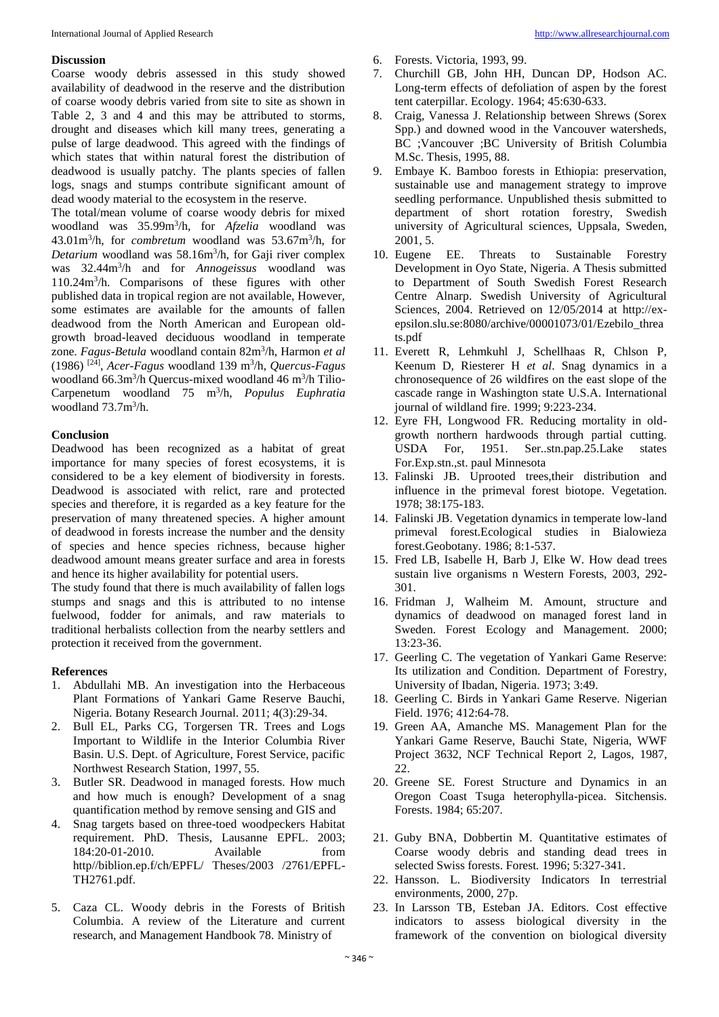#### **Discussion**

Coarse woody debris assessed in this study showed availability of deadwood in the reserve and the distribution of coarse woody debris varied from site to site as shown in Table 2, 3 and 4 and this may be attributed to storms, drought and diseases which kill many trees, generating a pulse of large deadwood. This agreed with the findings of which states that within natural forest the distribution of deadwood is usually patchy. The plants species of fallen logs, snags and stumps contribute significant amount of dead woody material to the ecosystem in the reserve.

The total/mean volume of coarse woody debris for mixed woodland was 35.99m<sup>3</sup> /h, for *Afzelia* woodland was 43.01m<sup>3</sup> /h, for *combretum* woodland was 53.67m<sup>3</sup> /h, for *Detarium* woodland was 58.16m<sup>3</sup> /h, for Gaji river complex was 32.44m<sup>3</sup> /h and for *Annogeissus* woodland was 110.24m<sup>3</sup> /h. Comparisons of these figures with other published data in tropical region are not available, However, some estimates are available for the amounts of fallen deadwood from the North American and European oldgrowth broad-leaved deciduous woodland in temperate zone. *Fagus-Betula* woodland contain 82m<sup>3</sup> /h, Harmon *et al* (1986) [24] , *Acer-Fagus* woodland 139 m<sup>3</sup> /h, *Quercus-Fagus* woodland 66.3m<sup>3</sup>/h Quercus-mixed woodland 46 m<sup>3</sup>/h Tilio-Carpenetum woodland 75 m<sup>3</sup> /h, *Populus Euphratia*  woodland 73.7m<sup>3</sup>/h.

#### **Conclusion**

Deadwood has been recognized as a habitat of great importance for many species of forest ecosystems, it is considered to be a key element of biodiversity in forests. Deadwood is associated with relict, rare and protected species and therefore, it is regarded as a key feature for the preservation of many threatened species. A higher amount of deadwood in forests increase the number and the density of species and hence species richness, because higher deadwood amount means greater surface and area in forests and hence its higher availability for potential users.

The study found that there is much availability of fallen logs stumps and snags and this is attributed to no intense fuelwood, fodder for animals, and raw materials to traditional herbalists collection from the nearby settlers and protection it received from the government.

#### **References**

- 1. Abdullahi MB. An investigation into the Herbaceous Plant Formations of Yankari Game Reserve Bauchi, Nigeria. Botany Research Journal*.* 2011; 4(3):29-34.
- 2. Bull EL, Parks CG, Torgersen TR. Trees and Logs Important to Wildlife in the Interior Columbia River Basin. U.S. Dept. of Agriculture, Forest Service, pacific Northwest Research Station, 1997, 55.
- 3. Butler SR. Deadwood in managed forests. How much and how much is enough? Development of a snag quantification method by remove sensing and GIS and
- 4. Snag targets based on three-toed woodpeckers Habitat requirement. PhD. Thesis, Lausanne EPFL. 2003; 184:20-01-2010. Available from http//biblion.ep.f/ch/EPFL/ Theses/2003 /2761/EPFL-TH2761.pdf.
- 5. Caza CL. Woody debris in the Forests of British Columbia. A review of the Literature and current research, and Management Handbook 78. Ministry of
- 6. Forests. Victoria, 1993, 99.
- 7. Churchill GB, John HH, Duncan DP, Hodson AC. Long-term effects of defoliation of aspen by the forest tent caterpillar. Ecology. 1964; 45:630-633.
- 8. Craig, Vanessa J. Relationship between Shrews (Sorex Spp.) and downed wood in the Vancouver watersheds, BC ;Vancouver ;BC University of British Columbia M.Sc. Thesis, 1995, 88.
- 9. Embaye K. Bamboo forests in Ethiopia: preservation, sustainable use and management strategy to improve seedling performance. Unpublished thesis submitted to department of short rotation forestry, Swedish university of Agricultural sciences, Uppsala, Sweden, 2001, 5.
- 10. Eugene EE. Threats to Sustainable Forestry Development in Oyo State, Nigeria. A Thesis submitted to Department of South Swedish Forest Research Centre Alnarp. Swedish University of Agricultural Sciences, 2004. Retrieved on 12/05/2014 at http://exepsilon.slu.se:8080/archive/00001073/01/Ezebilo\_threa ts.pdf
- 11. Everett R, Lehmkuhl J, Schellhaas R, Chlson P, Keenum D, Riesterer H *et al*. Snag dynamics in a chronosequence of 26 wildfires on the east slope of the cascade range in Washington state U.S.A. International journal of wildland fire. 1999; 9:223-234.
- 12. Eyre FH, Longwood FR. Reducing mortality in oldgrowth northern hardwoods through partial cutting. USDA For, 1951. Ser..stn.pap.25.Lake states For.Exp.stn.,st. paul Minnesota
- 13. Falinski JB. Uprooted trees,their distribution and influence in the primeval forest biotope. Vegetation. 1978; 38:175-183.
- 14. Falinski JB. Vegetation dynamics in temperate low-land primeval forest.Ecological studies in Bialowieza forest.Geobotany. 1986; 8:1-537.
- 15. Fred LB, Isabelle H, Barb J, Elke W. How dead trees sustain live organisms n Western Forests, 2003, 292- 301.
- 16. Fridman J, Walheim M. Amount, structure and dynamics of deadwood on managed forest land in Sweden. Forest Ecology and Management. 2000; 13:23-36.
- 17. Geerling C. The vegetation of Yankari Game Reserve: Its utilization and Condition. Department of Forestry, University of Ibadan, Nigeria. 1973; 3:49.
- 18. Geerling C. Birds in Yankari Game Reserve. Nigerian Field. 1976; 412:64-78.
- 19. Green AA, Amanche MS. Management Plan for the Yankari Game Reserve, Bauchi State, Nigeria, WWF Project 3632, NCF Technical Report 2, Lagos, 1987, 22.
- 20. Greene SE. Forest Structure and Dynamics in an Oregon Coast Tsuga heterophylla-picea. Sitchensis. Forests. 1984; 65:207.
- 21. Guby BNA, Dobbertin M. Quantitative estimates of Coarse woody debris and standing dead trees in selected Swiss forests. Forest*.* 1996; 5:327-341.
- 22. Hansson. L. Biodiversity Indicators In terrestrial environments, 2000, 27p.
- 23. In Larsson TB, Esteban JA. Editors. Cost effective indicators to assess biological diversity in the framework of the convention on biological diversity